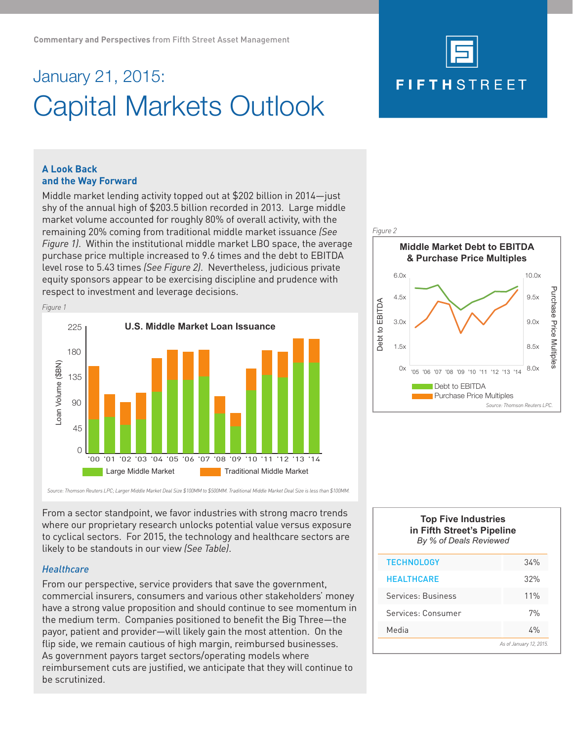# January 21, 2015: Capital Markets Outlook



# **A Look Back and the Way Forward**

Middle market lending activity topped out at \$202 billion in 2014—just shy of the annual high of \$203.5 billion recorded in 2013. Large middle market volume accounted for roughly 80% of overall activity, with the remaining 20% coming from traditional middle market issuance *(See Figure 1)*. Within the institutional middle market LBO space, the average purchase price multiple increased to 9.6 times and the debt to EBITDA level rose to 5.43 times *(See Figure 2)*. Nevertheless, judicious private equity sponsors appear to be exercising discipline and prudence with respect to investment and leverage decisions.





*Source: Thomson Reuters LPC; Larger Middle Market Deal Size \$100MM to \$500MM. Traditional Middle Market Deal Size is less than \$100MM.* 

From a sector standpoint, we favor industries with strong macro trends where our proprietary research unlocks potential value versus exposure to cyclical sectors. For 2015, the technology and healthcare sectors are likely to be standouts in our view *(See Table)*.

# *Healthcare*

From our perspective, service providers that save the government, commercial insurers, consumers and various other stakeholders' money have a strong value proposition and should continue to see momentum in the medium term. Companies positioned to benefit the Big Three—the payor, patient and provider—will likely gain the most attention. On the flip side, we remain cautious of high margin, reimbursed businesses. As government payors target sectors/operating models where reimbursement cuts are justified, we anticipate that they will continue to be scrutinized.

# **Top Five Industries in Fifth Street's Pipeline** *By % of Deals Reviewed*

| <b>TECHNOLOGY</b>       | 34%   |
|-------------------------|-------|
| <b>HEALTHCARE</b>       | 32%   |
| Services: Business      | 11%   |
| Services: Consumer      | 7%    |
| Media                   | $4\%$ |
| As of January 12, 2015. |       |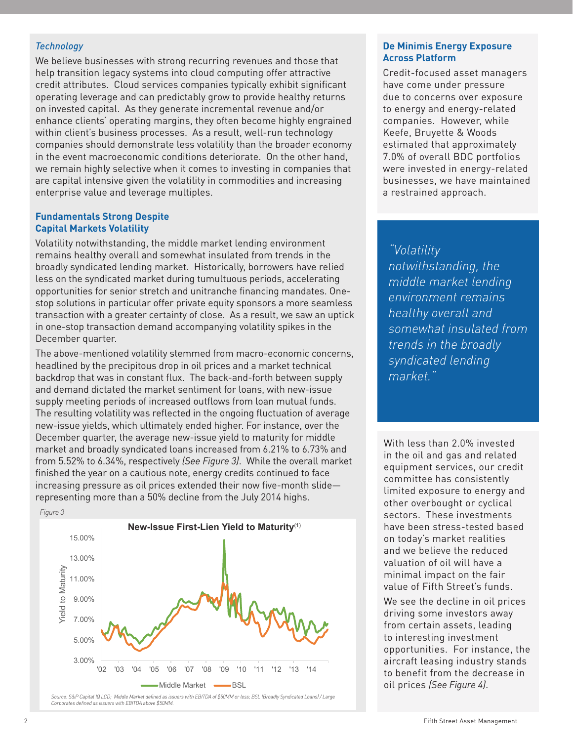# *Technology*

We believe businesses with strong recurring revenues and those that help transition legacy systems into cloud computing offer attractive credit attributes. Cloud services companies typically exhibit significant operating leverage and can predictably grow to provide healthy returns on invested capital. As they generate incremental revenue and/or enhance clients' operating margins, they often become highly engrained within client's business processes. As a result, well-run technology companies should demonstrate less volatility than the broader economy in the event macroeconomic conditions deteriorate. On the other hand, we remain highly selective when it comes to investing in companies that are capital intensive given the volatility in commodities and increasing enterprise value and leverage multiples.

## **Fundamentals Strong Despite Capital Markets Volatility**

Volatility notwithstanding, the middle market lending environment remains healthy overall and somewhat insulated from trends in the broadly syndicated lending market. Historically, borrowers have relied less on the syndicated market during tumultuous periods, accelerating opportunities for senior stretch and unitranche financing mandates. Onestop solutions in particular offer private equity sponsors a more seamless transaction with a greater certainty of close. As a result, we saw an uptick in one-stop transaction demand accompanying volatility spikes in the December quarter.

The above-mentioned volatility stemmed from macro-economic concerns, headlined by the precipitous drop in oil prices and a market technical backdrop that was in constant flux. The back-and-forth between supply and demand dictated the market sentiment for loans, with new-issue supply meeting periods of increased outflows from loan mutual funds. The resulting volatility was reflected in the ongoing fluctuation of average new-issue yields, which ultimately ended higher. For instance, over the December quarter, the average new-issue yield to maturity for middle market and broadly syndicated loans increased from 6.21% to 6.73% and from 5.52% to 6.34%, respectively *(See Figure 3)*. While the overall market finished the year on a cautious note, energy credits continued to face increasing pressure as oil prices extended their now five-month slide representing more than a 50% decline from the July 2014 highs.



*Source: S&P Capital IQ LCD; Middle Market defined as issuers with EBITDA of \$50MM or less; BSL (Broadly Syndicated Loans) / Large Corporates defined as issuers with EBITDA above \$50MM.* 

## **De Minimis Energy Exposure Across Platform**

Credit-focused asset managers have come under pressure due to concerns over exposure to energy and energy-related companies. However, while Keefe, Bruyette & Woods estimated that approximately 7.0% of overall BDC portfolios were invested in energy-related businesses, we have maintained a restrained approach.

# *"Volatility*

*notwithstanding, the middle market lending environment remains healthy overall and somewhat insulated from trends in the broadly syndicated lending market."* 

With less than 2.0% invested in the oil and gas and related equipment services, our credit committee has consistently limited exposure to energy and other overbought or cyclical sectors. These investments have been stress-tested based on today's market realities and we believe the reduced valuation of oil will have a minimal impact on the fair value of Fifth Street's funds.

We see the decline in oil prices driving some investors away from certain assets, leading to interesting investment opportunities. For instance, the aircraft leasing industry stands to benefit from the decrease in oil prices *(See Figure 4)*.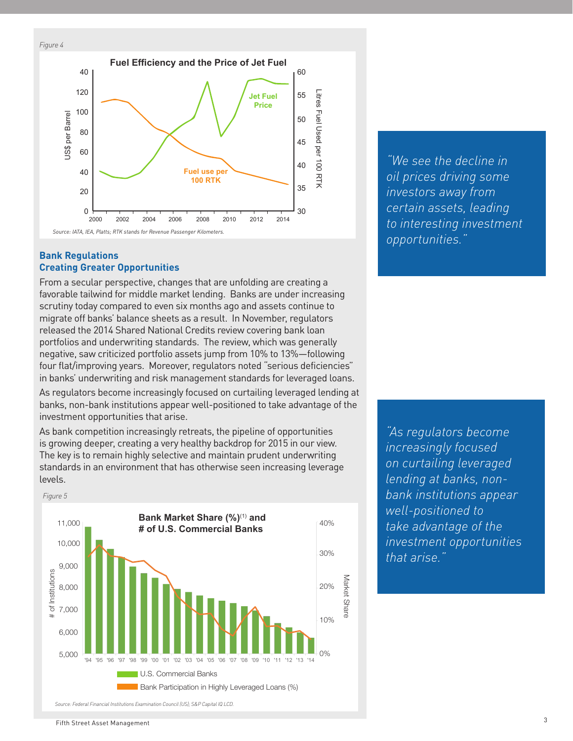*Figure 4*



# **Bank Regulations Creating Greater Opportunities**

From a secular perspective, changes that are unfolding are creating a favorable tailwind for middle market lending. Banks are under increasing scrutiny today compared to even six months ago and assets continue to migrate off banks' balance sheets as a result. In November, regulators released the 2014 Shared National Credits review covering bank loan portfolios and underwriting standards. The review, which was generally negative, saw criticized portfolio assets jump from 10% to 13%—following four flat/improving years. Moreover, regulators noted "serious deficiencies" in banks' underwriting and risk management standards for leveraged loans.

As regulators become increasingly focused on curtailing leveraged lending at banks, non-bank institutions appear well-positioned to take advantage of the investment opportunities that arise.

As bank competition increasingly retreats, the pipeline of opportunities is growing deeper, creating a very healthy backdrop for 2015 in our view. The key is to remain highly selective and maintain prudent underwriting standards in an environment that has otherwise seen increasing leverage levels.



*"We see the decline in oil prices driving some investors away from certain assets, leading to interesting investment opportunities."*

*"As regulators become increasingly focused on curtailing leveraged lending at banks, nonbank institutions appear well-positioned to take advantage of the investment opportunities that arise."*

*Source: Federal Financial Institutions Examination Council (US); S&P Capital IQ LCD.*